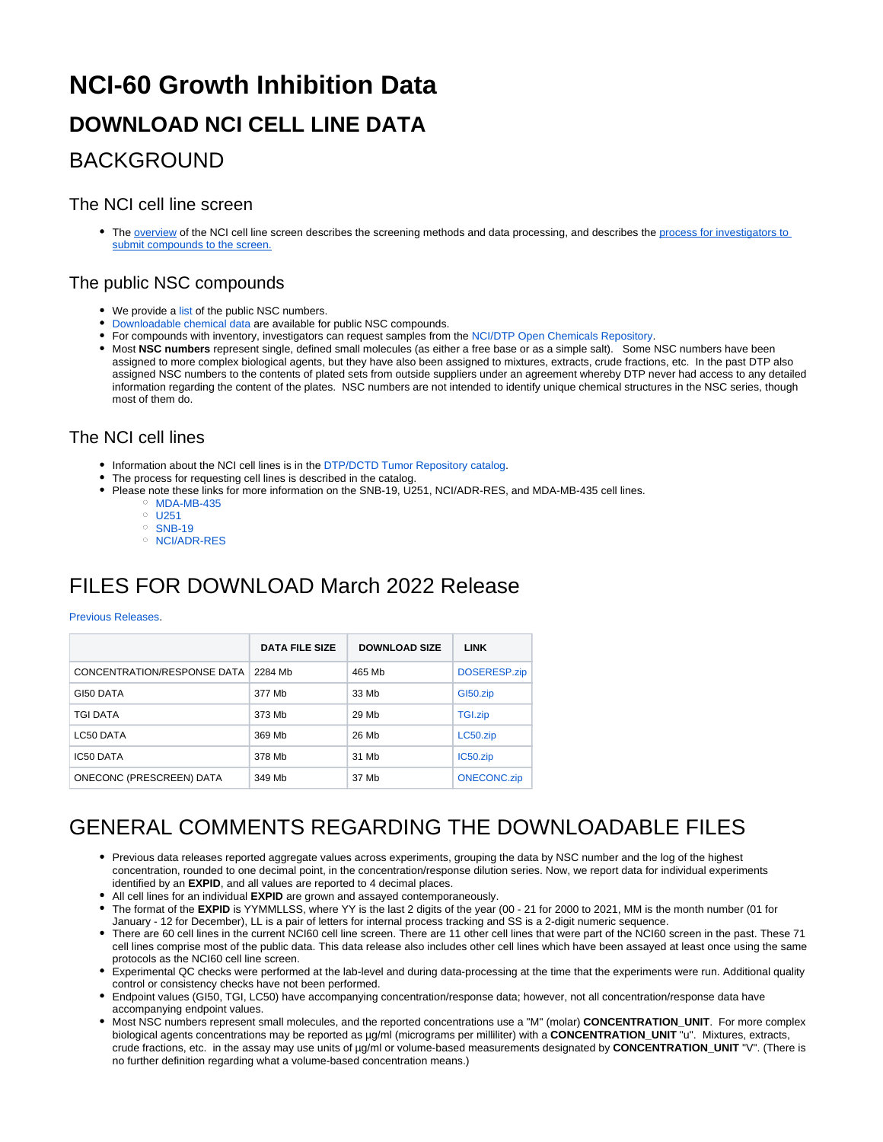# **NCI-60 Growth Inhibition Data**

## **DOWNLOAD NCI CELL LINE DATA**

### BACKGROUND

### The NCI cell line screen

• The [overview](https://dtp.cancer.gov/discovery_development/nci-60/default.htm) of the NCI cell line screen describes the screening methods and data processing, and describes the process for investigators to [submit compounds to the screen.](https://dtp.cancer.gov/organization/dscb/compoundSubmission/default.htm)

### The public NSC compounds

- We provide a [list](https://wiki.nci.nih.gov/download/attachments/147193864/public_nscs.csv?version=3&modificationDate=1649214619000&api=v2) of the public NSC numbers.
- [Downloadable chemical data](https://wiki.nci.nih.gov/display/NCIDTPdata/Chemical+Data) are available for public NSC compounds.
- For compounds with inventory, investigators can request samples from the [NCI/DTP Open Chemicals Repository.](https://dtp.cancer.gov/organization/dscb/obtaining/default.htm)
- Most **NSC numbers** represent single, defined small molecules (as either a free base or as a simple salt). Some NSC numbers have been assigned to more complex biological agents, but they have also been assigned to mixtures, extracts, crude fractions, etc. In the past DTP also assigned NSC numbers to the contents of plated sets from outside suppliers under an agreement whereby DTP never had access to any detailed information regarding the content of the plates. NSC numbers are not intended to identify unique chemical structures in the NSC series, though most of them do.

### The NCI cell lines

- Information about the NCI cell lines is in the [DTP/DCTD Tumor Repository catalog.](https://dtp.cancer.gov/organization/btb/docs/DCTDTumorRepositoryCatalog.pdf)
- The process for requesting cell lines is described in the catalog.
- Please note these links for more information on the SNB-19, U251, NCI/ADR-RES, and MDA-MB-435 cell lines.
	- $^{\circ}$  [MDA-MB-435](https://dtp.cancer.gov/discovery_development/nci-60/mda-mb-435.htm)
	- $O$  [U251](https://dtp.cancer.gov/discovery_development/nci-60/u251_snb-19.htm)
	- $0$  SNR-19
	- <sup>o</sup> [NCI/ADR-RES](https://dtp.cancer.gov/discovery_development/nci-60/nci-adrres.htm)

### FILES FOR DOWNLOAD March 2022 Release

#### [Previous Releases.](https://wiki.nci.nih.gov/display/NCIDTPdata/NCI-60+Data+Download+-+Previous+Releases)

|                             | <b>DATA FILE SIZE</b> | <b>DOWNLOAD SIZE</b> | <b>LINK</b>        |
|-----------------------------|-----------------------|----------------------|--------------------|
| CONCENTRATION/RESPONSE DATA | 2284 Mb               | 465 Mb               | DOSERESP.zip       |
| GI50 DATA                   | 377 Mb                | 33 Mb                | GI50.zip           |
| TGI DATA                    | 373 Mb                | 29 Mb                | <b>TGI.zip</b>     |
| LC50 DATA                   | 369 Mb                | 26 Mb                | $LC50$ .zip        |
| IC50 DATA                   | 378 Mb                | 31 Mb                | IC50.zip           |
| ONECONC (PRESCREEN) DATA    | 349 Mb                | 37 Mb                | <b>ONECONC.zip</b> |

## GENERAL COMMENTS REGARDING THE DOWNLOADABLE FILES

- Previous data releases reported aggregate values across experiments, grouping the data by NSC number and the log of the highest concentration, rounded to one decimal point, in the concentration/response dilution series. Now, we report data for individual experiments identified by an **EXPID**, and all values are reported to 4 decimal places.
- All cell lines for an individual **EXPID** are grown and assayed contemporaneously.
- The format of the **EXPID** is YYMMLLSS, where YY is the last 2 digits of the year (00 21 for 2000 to 2021, MM is the month number (01 for January - 12 for December), LL is a pair of letters for internal process tracking and SS is a 2-digit numeric sequence.
- There are 60 cell lines in the current NCI60 cell line screen. There are 11 other cell lines that were part of the NCI60 screen in the past. These 71 cell lines comprise most of the public data. This data release also includes other cell lines which have been assayed at least once using the same protocols as the NCI60 cell line screen.
- Experimental QC checks were performed at the lab-level and during data-processing at the time that the experiments were run. Additional quality control or consistency checks have not been performed.
- Endpoint values (GI50, TGI, LC50) have accompanying concentration/response data; however, not all concentration/response data have accompanying endpoint values.
- Most NSC numbers represent small molecules, and the reported concentrations use a "M" (molar) **CONCENTRATION\_UNIT**. For more complex biological agents concentrations may be reported as  $\mu$ g/ml (micrograms per milliliter) with a **CONCENTRATION\_UNIT** "u". Mixtures, extracts, crude fractions, etc. in the assay may use units of µg/ml or volume-based measurements designated by **CONCENTRATION\_UNIT** "V". (There is no further definition regarding what a volume-based concentration means.)